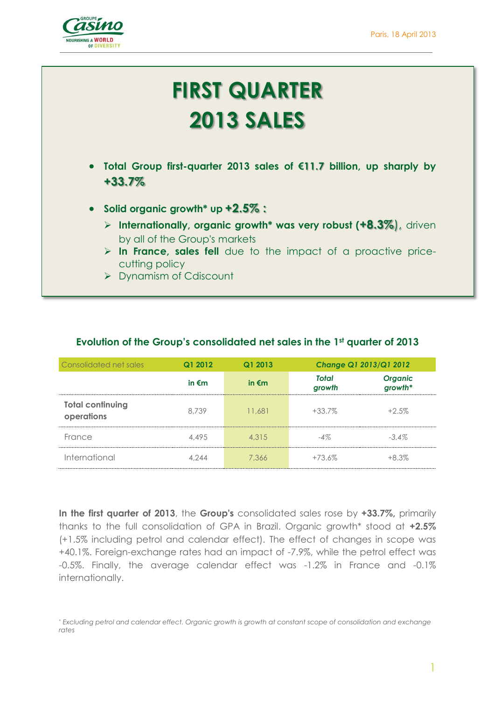

# **FIRST QUARTER 2013 SALES**

- **Total Group first-quarter 2013 sales of €11.7 billion, up sharply by +33.7%**
- **Solid organic growth\* up +2.5% :**
	- **Internationally, organic growth\* was very robust (+8.3%**), driven by all of the Group's markets
	- **In France, sales fell** due to the impact of a proactive pricecutting policy
	- Dynamism of Cdiscount

| Consolidated net sales                | Q1 2012         | Q1 2013         | <b>Change Q1 2013/Q1 2012</b> |                    |
|---------------------------------------|-----------------|-----------------|-------------------------------|--------------------|
|                                       | in $\epsilon$ m | in $\epsilon$ m | <b>Total</b><br>growth        | Organic<br>growth* |
| <b>Total continuing</b><br>operations | 8.739           | 11.681          | $+33.7\%$                     | $+2.5\%$           |
| France                                | 4.495           | 4.315           | $-4%$                         | $-3.4\%$           |
| International                         | 4.244           | 7,366           | $+73.6\%$                     | $+8.3%$            |

#### **Evolution of the Group's consolidated net sales in the 1st quarter of 2013**

**In the first quarter of 2013**, the **Group's** consolidated sales rose by **+33.7%,** primarily thanks to the full consolidation of GPA in Brazil. Organic growth\* stood at **+2.5%** (+1.5% including petrol and calendar effect). The effect of changes in scope was +40.1%. Foreign-exchange rates had an impact of -7.9%, while the petrol effect was -0.5%. Finally, the average calendar effect was -1.2% in France and -0.1% internationally.

1

<sup>\*</sup> *Excluding petrol and calendar effect. Organic growth is growth at constant scope of consolidation and exchange rates*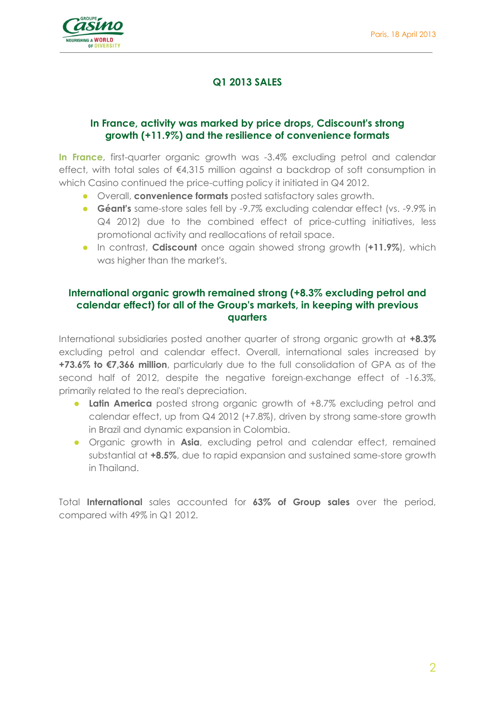

# **Q1 2013 SALES**

## **In France, activity was marked by price drops, Cdiscount's strong growth (+11.9%) and the resilience of convenience formats**

**In France**, first-quarter organic growth was -3.4% excluding petrol and calendar effect, with total sales of €4,315 million against a backdrop of soft consumption in which Casino continued the price-cutting policy it initiated in Q4 2012.

- Overall, **convenience formats** posted satisfactory sales growth.
- **Géant's** same-store sales fell by -9.7% excluding calendar effect (vs. -9.9% in Q4 2012) due to the combined effect of price-cutting initiatives, less promotional activity and reallocations of retail space.
- **In contrast, Cdiscount** once again showed strong growth (**+11.9%**), which was higher than the market's.

## **International organic growth remained strong (+8.3% excluding petrol and calendar effect) for all of the Group's markets, in keeping with previous quarters**

International subsidiaries posted another quarter of strong organic growth at **+8.3%** excluding petrol and calendar effect. Overall, international sales increased by **+73.6% to €7,366 million**, particularly due to the full consolidation of GPA as of the second half of 2012, despite the negative foreign-exchange effect of -16.3%, primarily related to the real's depreciation.

- **Latin America** posted strong organic growth of +8.7% excluding petrol and calendar effect, up from Q4 2012 (+7.8%), driven by strong same-store growth in Brazil and dynamic expansion in Colombia.
- **•** Organic growth in **Asia**, excluding petrol and calendar effect, remained substantial at **+8.5%**, due to rapid expansion and sustained same-store growth in Thailand.

Total **International** sales accounted for **63% of Group sales** over the period, compared with 49% in Q1 2012.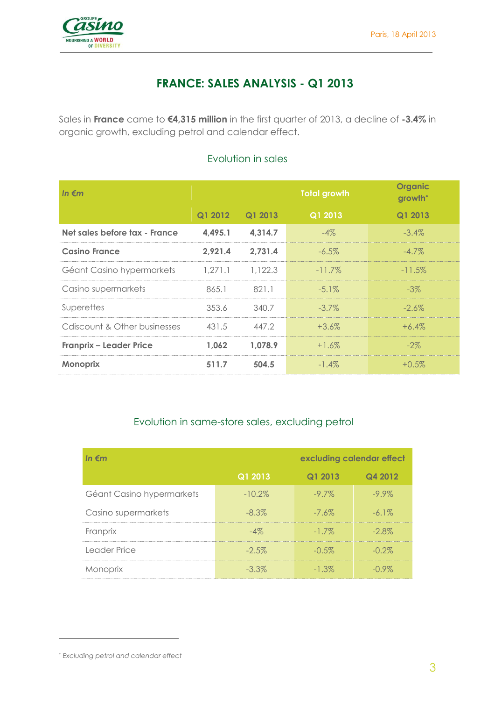

# **FRANCE: SALES ANALYSIS - Q1 2013**

Sales in **France** came to **€4,315 million** in the first quarter of 2013, a decline of **-3.4%** in organic growth, excluding petrol and calendar effect.

| In $\epsilon$ m                |         |         | <b>Total growth</b> | <b>Organic</b><br>growth <sup>*</sup> |
|--------------------------------|---------|---------|---------------------|---------------------------------------|
|                                | Q1 2012 | Q1 2013 | Q1 2013             | Q1 2013                               |
| Net sales before tax - France  | 4,495.1 | 4,314.7 | $-4\%$              | $-3.4\%$                              |
| <b>Casino France</b>           | 2,921.4 | 2,731.4 | $-6.5\%$            | $-4.7\%$                              |
| Géant Casino hypermarkets      | 1,271.1 | 1,122.3 | $-11.7\%$           | $-11.5\%$                             |
| Casino supermarkets            | 865.1   | 821.1   | $-5.1\%$            | $-3\%$                                |
| Superettes                     | 353.6   | 340.7   | $-3.7\%$            | $-2.6\%$                              |
| Cdiscount & Other businesses   | 431.5   | 447.2   | $+3.6\%$            | $+6.4\%$                              |
| <b>Franprix - Leader Price</b> | 1,062   | 1,078.9 | $+1.6\%$            | $-2\%$                                |
| <b>Monoprix</b>                | 511.7   | 504.5   | $-1.4\%$            | $+0.5\%$                              |

## Evolution in sales

## Evolution in same-store sales, excluding petrol

| In $\epsilon$ m           | excluding calendar effect |          |          |
|---------------------------|---------------------------|----------|----------|
|                           | Q1 2013                   | Q1 2013  | Q4 2012  |
| Géant Casino hypermarkets | $-10.2\%$                 | $-9.7\%$ | $-9.9\%$ |
| Casino supermarkets       | $-8.3\%$                  | $-7.6\%$ | $-6.1\%$ |
| Franprix                  | $-4\%$                    | $-17\%$  | $-2.8\%$ |
| Leader Price              | $-2.5\%$                  | $-0.5\%$ | $-0.2\%$ |
| Monoprix                  | $-3.3\%$                  | $-1.3\%$ | $-0.9\%$ |

 $\overline{a}$ 

<sup>\*</sup> *Excluding petrol and calendar effect*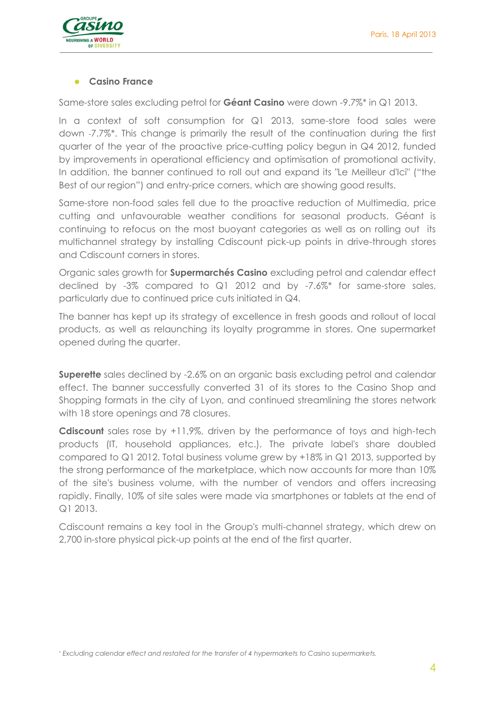

#### **Casino France**

Same-store sales excluding petrol for **Géant Casino** were down -9.7%\* in Q1 2013.

In a context of soft consumption for Q1 2013, same-store food sales were down -7.7%\*. This change is primarily the result of the continuation during the first quarter of the year of the proactive price-cutting policy begun in Q4 2012, funded by improvements in operational efficiency and optimisation of promotional activity. In addition, the banner continued to roll out and expand its "Le Meilleur d'Ici" ("the Best of our region") and entry-price corners, which are showing good results.

Same-store non-food sales fell due to the proactive reduction of Multimedia, price cutting and unfavourable weather conditions for seasonal products. Géant is continuing to refocus on the most buoyant categories as well as on rolling out its multichannel strategy by installing Cdiscount pick-up points in drive-through stores and Cdiscount corners in stores.

Organic sales growth for **Supermarchés Casino** excluding petrol and calendar effect declined by -3% compared to Q1 2012 and by -7.6%\* for same-store sales, particularly due to continued price cuts initiated in Q4.

The banner has kept up its strategy of excellence in fresh goods and rollout of local products, as well as relaunching its loyalty programme in stores. One supermarket opened during the quarter.

**Superette** sales declined by -2.6% on an organic basis excluding petrol and calendar effect. The banner successfully converted 31 of its stores to the Casino Shop and Shopping formats in the city of Lyon, and continued streamlining the stores network with 18 store openings and 78 closures.

**Cdiscount** sales rose by +11,9%, driven by the performance of toys and high-tech products (IT, household appliances, etc.). The private label's share doubled compared to Q1 2012. Total business volume grew by +18% in Q1 2013, supported by the strong performance of the marketplace, which now accounts for more than 10% of the site's business volume, with the number of vendors and offers increasing rapidly. Finally, 10% of site sales were made via smartphones or tablets at the end of Q1 2013.

Cdiscount remains a key tool in the Group's multi-channel strategy, which drew on 2,700 in-store physical pick-up points at the end of the first quarter.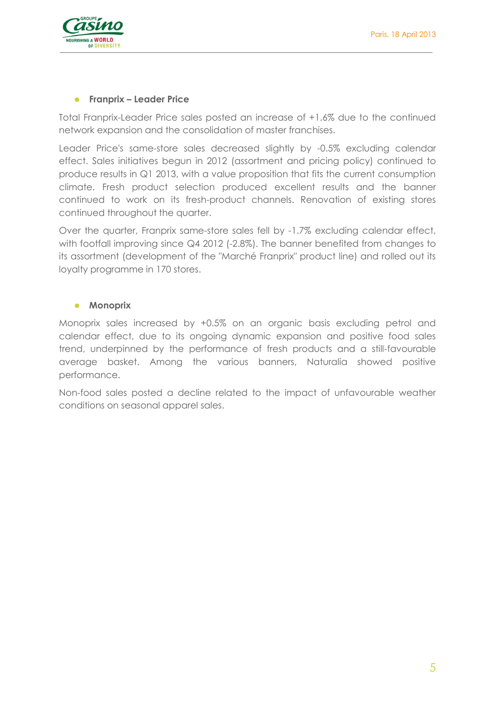

#### **Franprix – Leader Price**

Total Franprix-Leader Price sales posted an increase of +1.6% due to the continued network expansion and the consolidation of master franchises.

Leader Price's same-store sales decreased slightly by -0.5% excluding calendar effect. Sales initiatives begun in 2012 (assortment and pricing policy) continued to produce results in Q1 2013, with a value proposition that fits the current consumption climate. Fresh product selection produced excellent results and the banner continued to work on its fresh-product channels. Renovation of existing stores continued throughout the quarter.

Over the quarter, Franprix same-store sales fell by -1.7% excluding calendar effect, with footfall improving since Q4 2012 (-2.8%). The banner benefited from changes to its assortment (development of the "Marché Franprix" product line) and rolled out its loyalty programme in 170 stores.

#### **•** Monoprix

Monoprix sales increased by +0.5% on an organic basis excluding petrol and calendar effect, due to its ongoing dynamic expansion and positive food sales trend, underpinned by the performance of fresh products and a still-favourable average basket. Among the various banners, Naturalia showed positive performance.

Non-food sales posted a decline related to the impact of unfavourable weather conditions on seasonal apparel sales.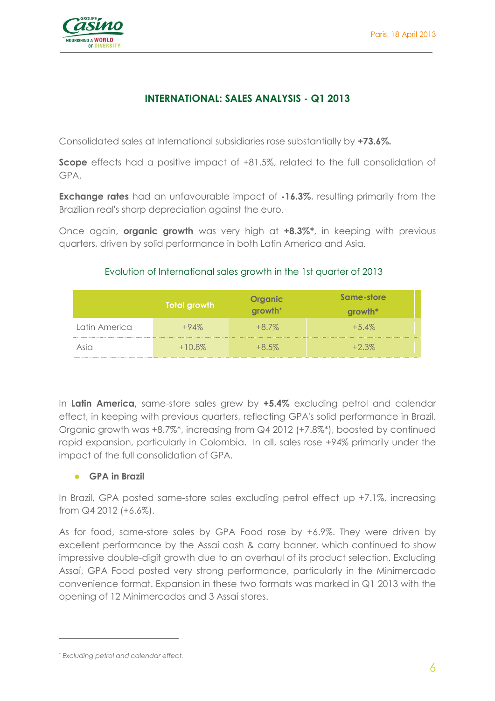

# **INTERNATIONAL: SALES ANALYSIS - Q1 2013**

Consolidated sales at International subsidiaries rose substantially by **+73.6%.**

**Scope** effects had a positive impact of +81.5%, related to the full consolidation of GPA.

**Exchange rates** had an unfavourable impact of **-16.3%**, resulting primarily from the Brazilian real's sharp depreciation against the euro.

Once again, **organic growth** was very high at **+8.3%\***, in keeping with previous quarters, driven by solid performance in both Latin America and Asia.

## Evolution of International sales growth in the 1st quarter of 2013

|               | Total growth | <b>Organic</b><br>growth <sup>*</sup> | Same-store<br>growth* |
|---------------|--------------|---------------------------------------|-----------------------|
| Latin America | $+94\%$      | $+8.7\%$                              | $+5.4\%$              |
| Asio          | $+10.8\%$    | $+8.5\%$                              | $+2.3\%$              |

In **Latin America,** same-store sales grew by **+5.4%** excluding petrol and calendar effect, in keeping with previous quarters, reflecting GPA's solid performance in Brazil. Organic growth was +8.7%\*, increasing from Q4 2012 (+7.8%\*), boosted by continued rapid expansion, particularly in Colombia. In all, sales rose +94% primarily under the impact of the full consolidation of GPA.

#### **GPA in Brazil**

In Brazil, GPA posted same-store sales excluding petrol effect up +7.1%, increasing from Q4 2012 (+6.6%).

As for food, same-store sales by GPA Food rose by +6.9%. They were driven by excellent performance by the Assaí cash & carry banner, which continued to show impressive double-digit growth due to an overhaul of its product selection. Excluding Assaí, GPA Food posted very strong performance, particularly in the Minimercado convenience format. Expansion in these two formats was marked in Q1 2013 with the opening of 12 Minimercados and 3 Assaí stores.

 $\overline{a}$ 

*<sup>\*</sup> Excluding petrol and calendar effect.*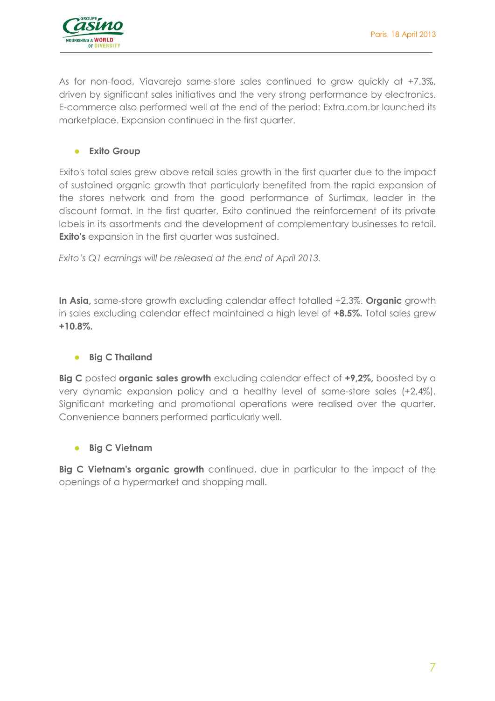

As for non-food, Viavarejo same-store sales continued to grow quickly at +7.3%, driven by significant sales initiatives and the very strong performance by electronics. E-commerce also performed well at the end of the period: Extra.com.br launched its marketplace. Expansion continued in the first quarter.

#### **Exito Group**

Exito's total sales grew above retail sales growth in the first quarter due to the impact of sustained organic growth that particularly benefited from the rapid expansion of the stores network and from the good performance of Surtimax, leader in the discount format. In the first quarter, Exito continued the reinforcement of its private labels in its assortments and the development of complementary businesses to retail. **Exito's** expansion in the first quarter was sustained.

*Exito's Q1 earnings will be released at the end of April 2013.*

**In Asia,** same-store growth excluding calendar effect totalled +2.3%. **Organic** growth in sales excluding calendar effect maintained a high level of **+8.5%.** Total sales grew **+10.8%.**

#### **•** Big C Thailand

**Big C** posted **organic sales growth** excluding calendar effect of **+9,2%,** boosted by a very dynamic expansion policy and a healthy level of same-store sales (+2,4%). Significant marketing and promotional operations were realised over the quarter. Convenience banners performed particularly well.

#### **Big C Vietnam**

**Big C Vietnam's organic growth** continued, due in particular to the impact of the openings of a hypermarket and shopping mall.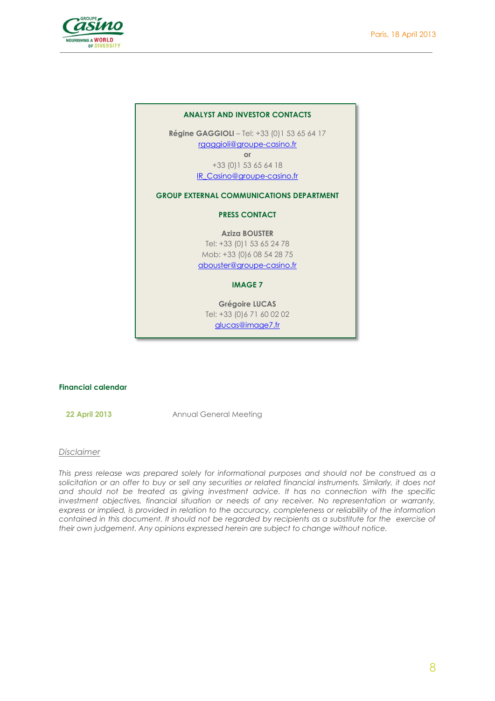

#### **ANALYST AND INVESTOR CONTACTS**

**Régine GAGGIOLI** – Tel: +33 (0)1 53 65 64 17 rgaggioli@groupe-casino.fr **or**

> +33 (0)1 53 65 64 18 IR\_Casino@groupe-casino.fr

#### **GROUP EXTERNAL COMMUNICATIONS DEPARTMENT**

#### **PRESS CONTACT**

**Aziza BOUSTER** 

Tel: +33 (0)1 53 65 24 78 Mob: +33 (0)6 08 54 28 75 abouster@groupe-casino.fr

#### **IMAGE 7**

**Grégoire LUCAS** Tel: +33 (0)6 71 60 02 02 glucas@image7.fr

#### **Financial calendar**

**22 April 2013** Annual General Meeting

#### *Disclaimer*

*This press release was prepared solely for informational purposes and should not be construed as a solicitation or an offer to buy or sell any securities or related financial instruments. Similarly, it does not and should not be treated as giving investment advice. It has no connection with the specific investment objectives, financial situation or needs of any receiver. No representation or warranty, express or implied, is provided in relation to the accuracy, completeness or reliability of the information contained in this document. It should not be regarded by recipients as a substitute for the exercise of their own judgement. Any opinions expressed herein are subject to change without notice.*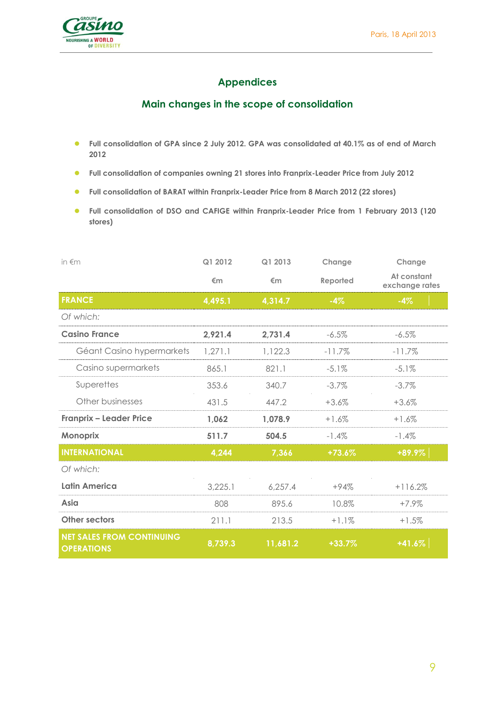

# **Appendices**

## **Main changes in the scope of consolidation**

- **Full consolidation of GPA since 2 July 2012. GPA was consolidated at 40.1% as of end of March 2012**
- **Full consolidation of companies owning 21 stores into Franprix-Leader Price from July 2012**
- **Full consolidation of BARAT within Franprix-Leader Price from 8 March 2012 (22 stores)**
- **Full consolidation of DSO and CAFIGE within Franprix-Leader Price from 1 February 2013 (120 stores)**

| in $\notin$ m                                         | Q1 2012 | Q1 2013  | Change   | Change                        |
|-------------------------------------------------------|---------|----------|----------|-------------------------------|
|                                                       | €m      | €m       | Reported | At constant<br>exchange rates |
| <b>FRANCE</b>                                         | 4,495.1 | 4,314.7  | $-4\%$   | $-4%$                         |
| Of which:                                             |         |          |          |                               |
| <b>Casino France</b>                                  | 2,921.4 | 2,731.4  | $-6.5%$  | $-6.5%$                       |
| Géant Casino hypermarkets                             | 1,271.1 | 1,122.3  | $-11.7%$ | $-11.7%$                      |
| Casino supermarkets                                   | 865.1   | 821.1    | $-5.1\%$ | $-5.1\%$                      |
| Superettes                                            | 353.6   | 340.7    | $-3.7\%$ | $-3.7\%$                      |
| Other businesses                                      | 431.5   | 447.2    | $+3.6%$  | $+3.6%$                       |
| <b>Franprix - Leader Price</b>                        | 1,062   | 1,078.9  | $+1.6%$  | $+1.6%$                       |
| Monoprix                                              | 511.7   | 504.5    | $-1.4\%$ | $-1.4%$                       |
| <b>INTERNATIONAL</b>                                  | 4,244   | 7,366    | $+73.6%$ | +89.9%                        |
| Of which:                                             |         |          |          |                               |
| <b>Latin America</b>                                  | 3,225.1 | 6,257.4  | $+94%$   | $+116.2%$                     |
| Asia                                                  | 808     | 895.6    | 10.8%    | $+7.9\%$                      |
| <b>Other sectors</b>                                  | 211.1   | 213.5    | $+1.1%$  | $+1.5%$                       |
| <b>NET SALES FROM CONTINUING</b><br><b>OPERATIONS</b> | 8,739.3 | 11,681.2 | $+33.7%$ | $+41.6%$                      |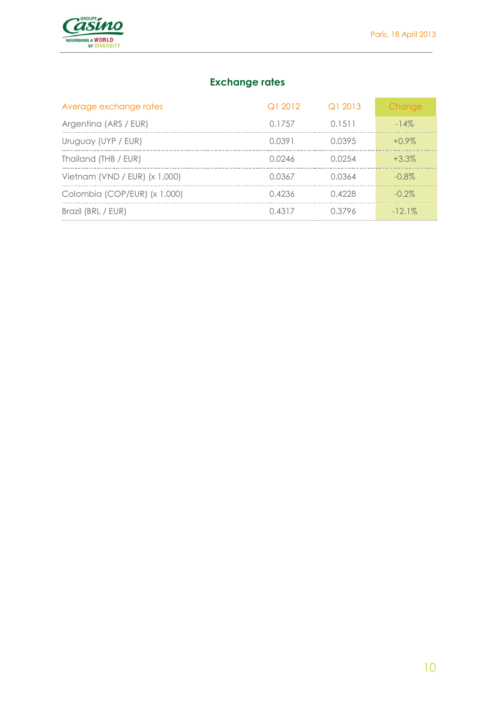

# **Exchange rates**

| Average exchange rates        | Q12012 | $\Omega$ 2013 | Change    |
|-------------------------------|--------|---------------|-----------|
| Argentina (ARS / EUR)         | 0.1757 | 0 1 5 1 1     | $-14\%$   |
| Uruguay (UYP / EUR)           | 0.0391 | 0.0395        | $+0.9\%$  |
| Thailand (THB / EUR)          | 0.0246 | 0.0254        | $+3.3\%$  |
| Vietnam (VND / EUR) (x 1,000) | 0.0367 | 0.0364        | $-0.8\%$  |
| Colombia (COP/EUR) (x 1,000)  | 0.4236 | 0.4228        | $-0.2\%$  |
| Brazil (BRL / EUR)            | 0.4317 | 0.3796        | $-12.1\%$ |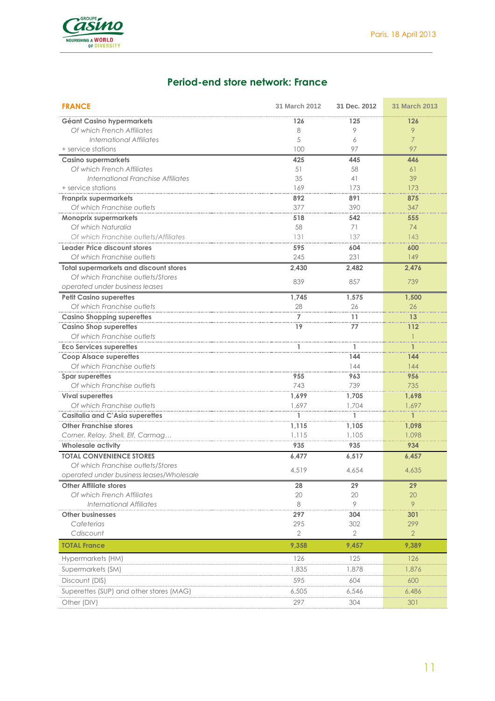

# **Period-end store network: France**

| <b>FRANCE</b>                                 | 31 March 2012         | 31 Dec. 2012          | <b>31 March 2013</b>  |
|-----------------------------------------------|-----------------------|-----------------------|-----------------------|
| Géant Casino hypermarkets                     | 126                   | 125                   | 126                   |
| Of which French Affiliates                    | 8                     | 9                     | 9                     |
| International Affiliates                      | 5                     | 6                     | $\overline{7}$        |
| + service stations                            | 100                   | 97                    | 97                    |
| <b>Casino supermarkets</b>                    | 425                   | 445                   | 446                   |
| Of which French Affiliates                    | 51                    | 58                    | 61                    |
| International Franchise Affiliates            | 35                    | 41                    | 39                    |
| + service stations                            | 169                   | 173                   | 173                   |
| <b>Franprix supermarkets</b>                  | 892                   | 891                   | 875                   |
| Of which Franchise outlets                    | 377                   | 390                   | 347                   |
| <b>Monoprix supermarkets</b>                  | 518                   | 542                   | 555                   |
| Of which Naturalia                            | 58                    | 71                    | 74                    |
| Of which Franchise outlets/Affiliates         | 131                   | 137                   | 143                   |
| Leader Price discount stores                  | 595                   | 604                   | 600                   |
| Of which Franchise outlets                    | 245                   | 231                   | 149                   |
| <b>Total supermarkets and discount stores</b> | 2,430                 | 2,482                 | 2,476                 |
| Of which Franchise outlets/Stores             | 839                   | 857                   | 739                   |
| operated under business leases                |                       |                       |                       |
| <b>Petit Casino superettes</b>                | 1,745                 | 1,575                 | 1.500                 |
| Of which Franchise outlets                    | 28                    | 26                    | 26                    |
| <b>Casino Shopping superettes</b>             | 7                     | 11                    | 13                    |
| <b>Casino Shop superettes</b>                 | 19                    | 77                    | 112                   |
| Of which Franchise outlets                    |                       |                       |                       |
| <b>Eco Services superettes</b>                |                       | ı                     |                       |
| <b>Coop Alsace superettes</b>                 |                       | 144                   | 144                   |
| Of which Franchise outlets                    |                       | 144                   | 144                   |
| Spar superettes                               | 955                   | 963                   | 956                   |
| Of which Franchise outlets                    | 743                   | 739                   | 735                   |
| <b>Vival superettes</b>                       | 1,699                 | 1,705                 | 1,698                 |
| Of which Franchise outlets                    | 1.697                 | 1,704                 | 1,697                 |
| Casitalia and C'Asia superettes               |                       |                       |                       |
| <b>Other Franchise stores</b>                 | 1,115                 | 1,105                 | 1,098                 |
| Corner, Relay, Shell, Elf, Carmag             | 1,115                 | 1,105                 | 1,098                 |
| <b>Wholesale activity</b>                     | 935                   | 935                   | 934                   |
| <b>TOTAL CONVENIENCE STORES</b>               | 6,477                 | 6,517                 | 6,457                 |
| Of which Franchise outlets/Stores             | 4,519                 | 4,654                 | 4,635                 |
| operated under business leases/Wholesale      |                       |                       |                       |
| <b>Other Affiliate stores</b>                 | 28                    | 29                    | 29                    |
| Of which French Affiliates                    | 20                    | 20                    | 20                    |
| <b>International Affiliates</b>               | 8                     | 9                     | 9                     |
| <b>Other businesses</b>                       | 297                   | 304                   | 301                   |
| Cafeterias<br>Cdiscount                       | 295<br>$\overline{2}$ | 302<br>$\overline{2}$ | 299<br>$\overline{2}$ |
|                                               |                       |                       |                       |
| <b>TOTAL France</b>                           | 9,358                 | 9,457                 | 9,389                 |
| Hypermarkets (HM)                             | 126                   | 125                   | 126                   |
| Supermarkets (SM)                             | 1,835                 | 1,878                 | 1,876                 |
| Discount (DIS)                                | 595                   | 604                   | 600                   |
| Superettes (SUP) and other stores (MAG)       | 6,505                 | 6,546                 | 6,486                 |
| Other (DIV)                                   | 297                   | 304                   | 301                   |